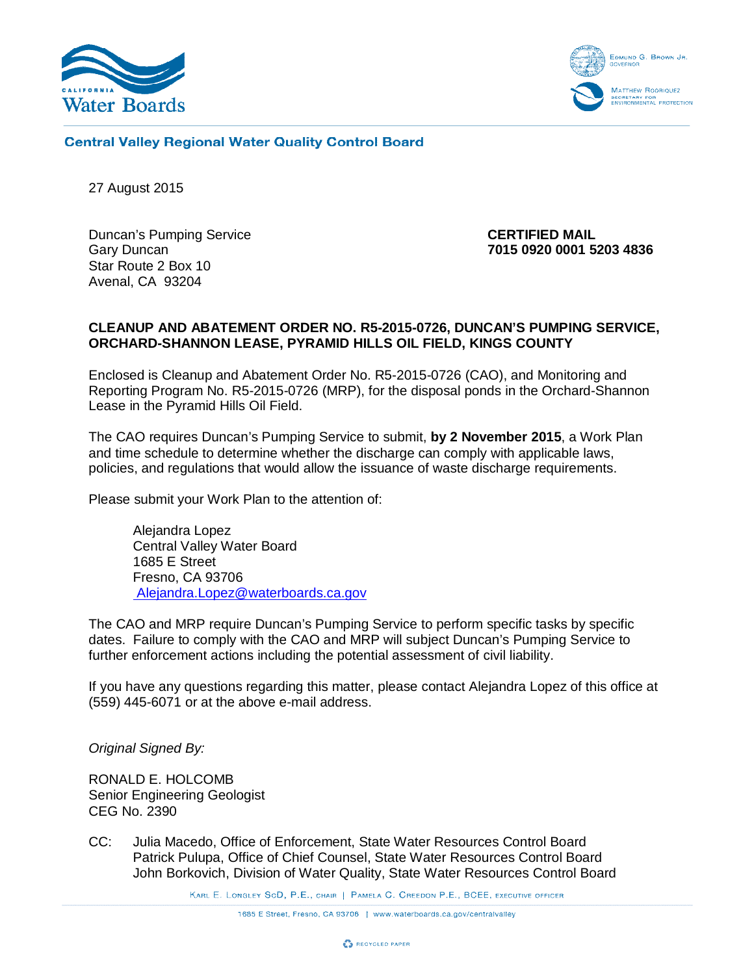



## **Central Valley Regional Water Quality Control Board**

27 August 2015

Duncan's Pumping Service **CERTIFIED MAIL** Star Route 2 Box 10 Avenal, CA 93204

Gary Duncan **7015 0920 0001 5203 4836**

#### **CLEANUP AND ABATEMENT ORDER NO. R5-2015-0726, DUNCAN'S PUMPING SERVICE, ORCHARD-SHANNON LEASE, PYRAMID HILLS OIL FIELD, KINGS COUNTY**

Enclosed is Cleanup and Abatement Order No. R5-2015-0726 (CAO), and Monitoring and Reporting Program No. R5-2015-0726 (MRP), for the disposal ponds in the Orchard-Shannon Lease in the Pyramid Hills Oil Field.

The CAO requires Duncan's Pumping Service to submit, **by 2 November 2015**, a Work Plan and time schedule to determine whether the discharge can comply with applicable laws, policies, and regulations that would allow the issuance of waste discharge requirements.

Please submit your Work Plan to the attention of:

Alejandra Lopez Central Valley Water Board 1685 E Street Fresno, CA 93706 Alejandra.Lopez@waterboards.ca.gov

The CAO and MRP require Duncan's Pumping Service to perform specific tasks by specific dates. Failure to comply with the CAO and MRP will subject Duncan's Pumping Service to further enforcement actions including the potential assessment of civil liability.

If you have any questions regarding this matter, please contact Alejandra Lopez of this office at (559) 445-6071 or at the above e-mail address.

*Original Signed By:*

RONALD E. HOLCOMB Senior Engineering Geologist CEG No. 2390

CC: Julia Macedo, Office of Enforcement, State Water Resources Control Board Patrick Pulupa, Office of Chief Counsel, State Water Resources Control Board John Borkovich, Division of Water Quality, State Water Resources Control Board

KARL E. LONGLEY SOD, P.E., CHAIR | PAMELA C. CREEDON P.E., BCEE, EXECUTIVE OFFICER

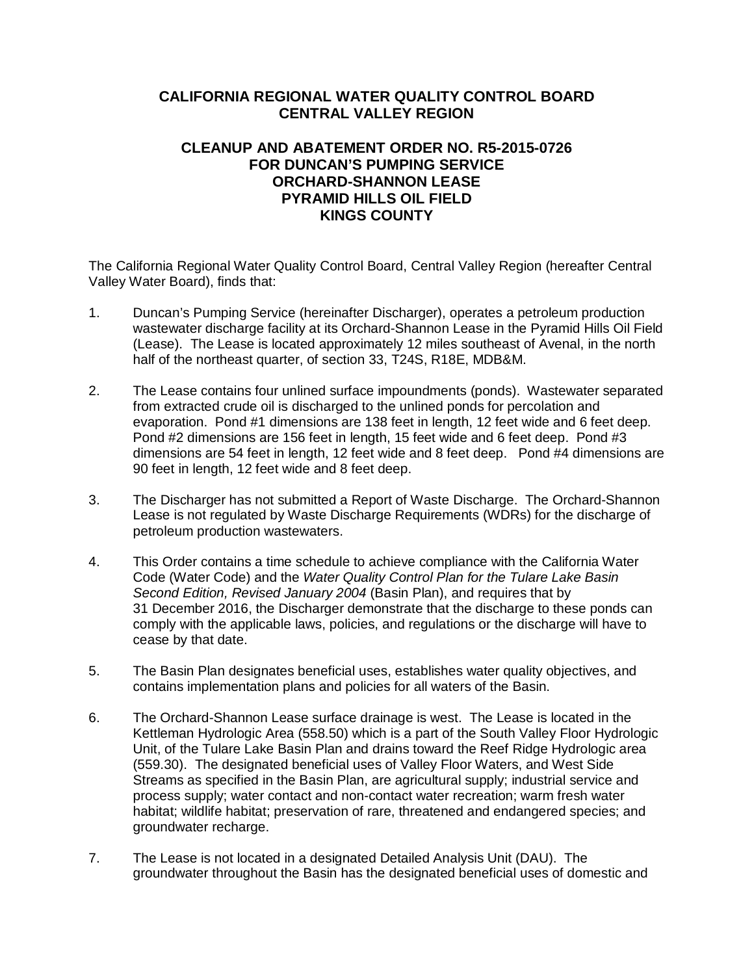# **CALIFORNIA REGIONAL WATER QUALITY CONTROL BOARD CENTRAL VALLEY REGION**

## **CLEANUP AND ABATEMENT ORDER NO. R5-2015-0726 FOR DUNCAN'S PUMPING SERVICE ORCHARD-SHANNON LEASE PYRAMID HILLS OIL FIELD KINGS COUNTY**

The California Regional Water Quality Control Board, Central Valley Region (hereafter Central Valley Water Board), finds that:

- 1. Duncan's Pumping Service (hereinafter Discharger), operates a petroleum production wastewater discharge facility at its Orchard-Shannon Lease in the Pyramid Hills Oil Field (Lease). The Lease is located approximately 12 miles southeast of Avenal, in the north half of the northeast quarter, of section 33, T24S, R18E, MDB&M.
- 2. The Lease contains four unlined surface impoundments (ponds). Wastewater separated from extracted crude oil is discharged to the unlined ponds for percolation and evaporation. Pond #1 dimensions are 138 feet in length, 12 feet wide and 6 feet deep. Pond #2 dimensions are 156 feet in length, 15 feet wide and 6 feet deep. Pond #3 dimensions are 54 feet in length, 12 feet wide and 8 feet deep. Pond #4 dimensions are 90 feet in length, 12 feet wide and 8 feet deep.
- 3. The Discharger has not submitted a Report of Waste Discharge. The Orchard-Shannon Lease is not regulated by Waste Discharge Requirements (WDRs) for the discharge of petroleum production wastewaters.
- 4. This Order contains a time schedule to achieve compliance with the California Water Code (Water Code) and the *Water Quality Control Plan for the Tulare Lake Basin Second Edition, Revised January 2004* (Basin Plan), and requires that by 31 December 2016, the Discharger demonstrate that the discharge to these ponds can comply with the applicable laws, policies, and regulations or the discharge will have to cease by that date.
- 5. The Basin Plan designates beneficial uses, establishes water quality objectives, and contains implementation plans and policies for all waters of the Basin.
- 6. The Orchard-Shannon Lease surface drainage is west. The Lease is located in the Kettleman Hydrologic Area (558.50) which is a part of the South Valley Floor Hydrologic Unit, of the Tulare Lake Basin Plan and drains toward the Reef Ridge Hydrologic area (559.30). The designated beneficial uses of Valley Floor Waters, and West Side Streams as specified in the Basin Plan, are agricultural supply; industrial service and process supply; water contact and non-contact water recreation; warm fresh water habitat; wildlife habitat; preservation of rare, threatened and endangered species; and groundwater recharge.
- 7. The Lease is not located in a designated Detailed Analysis Unit (DAU). The groundwater throughout the Basin has the designated beneficial uses of domestic and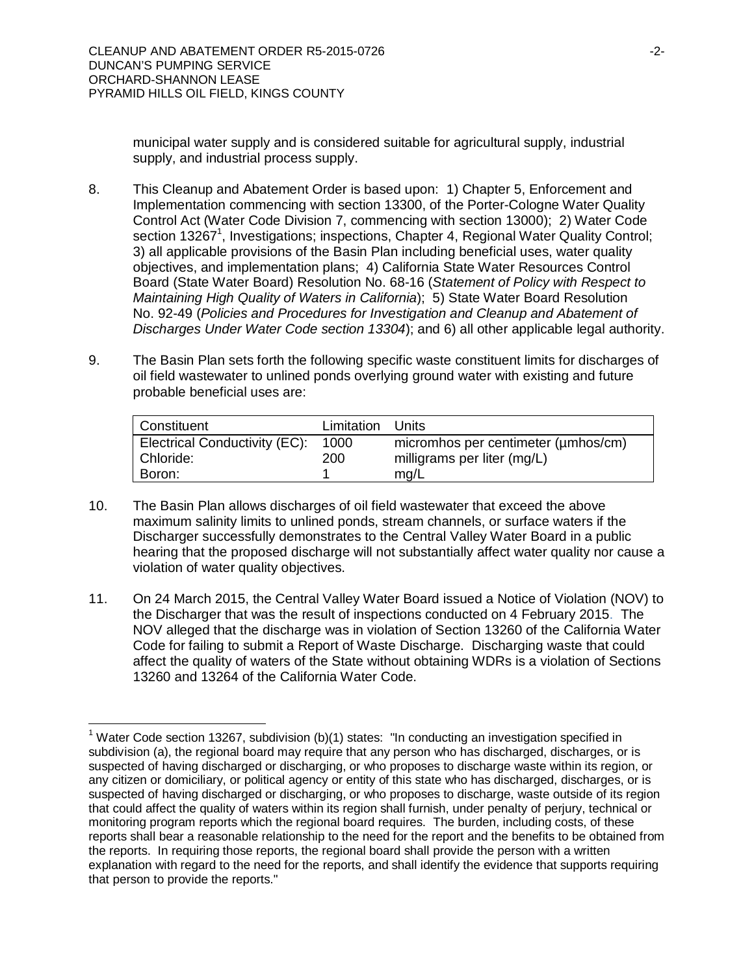$\overline{\phantom{a}}$ 

municipal water supply and is considered suitable for agricultural supply, industrial supply, and industrial process supply.

- 8. This Cleanup and Abatement Order is based upon: 1) Chapter 5, Enforcement and Implementation commencing with section 13300, of the Porter-Cologne Water Quality Control Act (Water Code Division 7, commencing with section 13000); 2) Water Code section 13267<sup>1</sup>, Investigations; inspections, Chapter 4, Regional Water Quality Control; 3) all applicable provisions of the Basin Plan including beneficial uses, water quality objectives, and implementation plans; 4) California State Water Resources Control Board (State Water Board) Resolution No. 68-16 (*Statement of Policy with Respect to Maintaining High Quality of Waters in California*); 5) State Water Board Resolution No. 92-49 (*Policies and Procedures for Investigation and Cleanup and Abatement of Discharges Under Water Code section 13304*); and 6) all other applicable legal authority.
- 9. The Basin Plan sets forth the following specific waste constituent limits for discharges of oil field wastewater to unlined ponds overlying ground water with existing and future probable beneficial uses are:

| Constituent                                          | Limitation Units |                                                                            |
|------------------------------------------------------|------------------|----------------------------------------------------------------------------|
| Electrical Conductivity (EC):<br>Chloride:<br>Boron: | 1000<br>200      | micromhos per centimeter (umhos/cm)<br>milligrams per liter (mg/L)<br>mq/L |

- 10. The Basin Plan allows discharges of oil field wastewater that exceed the above maximum salinity limits to unlined ponds, stream channels, or surface waters if the Discharger successfully demonstrates to the Central Valley Water Board in a public hearing that the proposed discharge will not substantially affect water quality nor cause a violation of water quality objectives.
- 11. On 24 March 2015, the Central Valley Water Board issued a Notice of Violation (NOV) to the Discharger that was the result of inspections conducted on 4 February 2015. The NOV alleged that the discharge was in violation of Section 13260 of the California Water Code for failing to submit a Report of Waste Discharge. Discharging waste that could affect the quality of waters of the State without obtaining WDRs is a violation of Sections 13260 and 13264 of the California Water Code.

<sup>&</sup>lt;sup>1</sup> Water Code section 13267, subdivision (b)(1) states: "In conducting an investigation specified in subdivision (a), the regional board may require that any person who has discharged, discharges, or is suspected of having discharged or discharging, or who proposes to discharge waste within its region, or any citizen or domiciliary, or political agency or entity of this state who has discharged, discharges, or is suspected of having discharged or discharging, or who proposes to discharge, waste outside of its region that could affect the quality of waters within its region shall furnish, under penalty of perjury, technical or monitoring program reports which the regional board requires. The burden, including costs, of these reports shall bear a reasonable relationship to the need for the report and the benefits to be obtained from the reports. In requiring those reports, the regional board shall provide the person with a written explanation with regard to the need for the reports, and shall identify the evidence that supports requiring that person to provide the reports."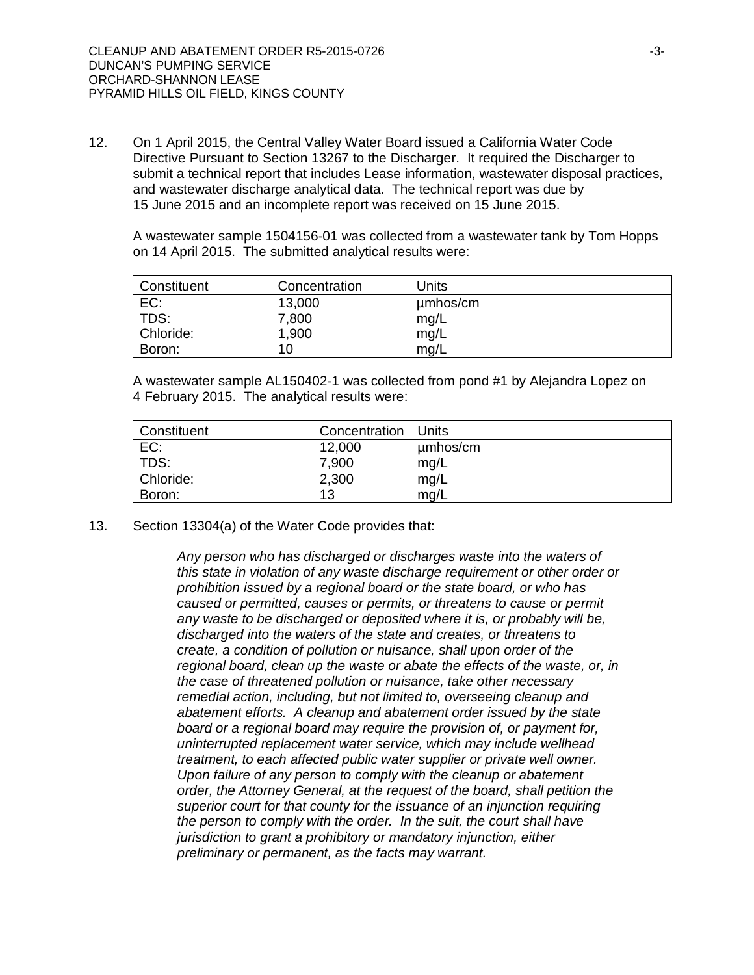12. On 1 April 2015, the Central Valley Water Board issued a California Water Code Directive Pursuant to Section 13267 to the Discharger. It required the Discharger to submit a technical report that includes Lease information, wastewater disposal practices, and wastewater discharge analytical data. The technical report was due by 15 June 2015 and an incomplete report was received on 15 June 2015.

A wastewater sample 1504156-01 was collected from a wastewater tank by Tom Hopps on 14 April 2015. The submitted analytical results were:

| Constituent | Concentration | Units    |
|-------------|---------------|----------|
| EC:         | 13,000        | umhos/cm |
| TDS:        | 7,800         | mg/L     |
| Chloride:   | 1,900         | mg/L     |
| Boron:      | 10.           | mq/L     |

A wastewater sample AL150402-1 was collected from pond #1 by Alejandra Lopez on 4 February 2015. The analytical results were:

| Constituent | Concentration | Units    |
|-------------|---------------|----------|
| EC:         | 12,000        | µmbos/cm |
| TDS:        | 7,900         | mg/L     |
| Chloride:   | 2,300         | mg/L     |
| Boron:      | 13            | mg/L     |

#### 13. Section 13304(a) of the Water Code provides that:

*Any person who has discharged or discharges waste into the waters of this state in violation of any waste discharge requirement or other order or prohibition issued by a regional board or the state board, or who has caused or permitted, causes or permits, or threatens to cause or permit any waste to be discharged or deposited where it is, or probably will be, discharged into the waters of the state and creates, or threatens to create, a condition of pollution or nuisance, shall upon order of the regional board, clean up the waste or abate the effects of the waste, or, in the case of threatened pollution or nuisance, take other necessary remedial action, including, but not limited to, overseeing cleanup and abatement efforts. A cleanup and abatement order issued by the state board or a regional board may require the provision of, or payment for, uninterrupted replacement water service, which may include wellhead treatment, to each affected public water supplier or private well owner. Upon failure of any person to comply with the cleanup or abatement order, the Attorney General, at the request of the board, shall petition the superior court for that county for the issuance of an injunction requiring the person to comply with the order. In the suit, the court shall have jurisdiction to grant a prohibitory or mandatory injunction, either preliminary or permanent, as the facts may warrant.*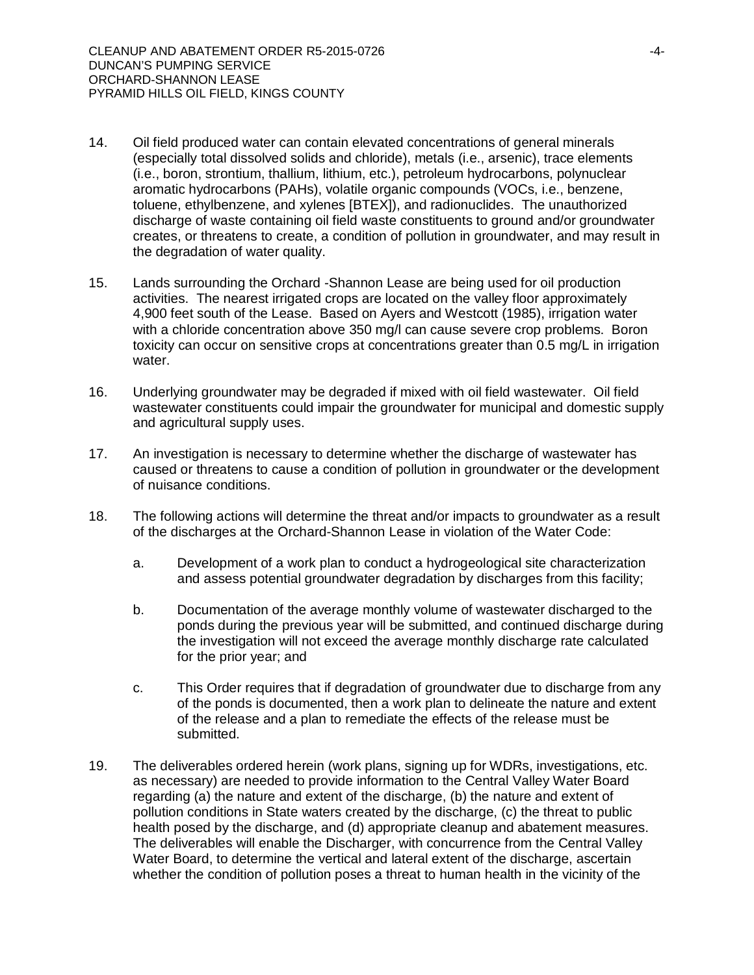- 14. Oil field produced water can contain elevated concentrations of general minerals (especially total dissolved solids and chloride), metals (i.e., arsenic), trace elements (i.e., boron, strontium, thallium, lithium, etc.), petroleum hydrocarbons, polynuclear aromatic hydrocarbons (PAHs), volatile organic compounds (VOCs, i.e., benzene, toluene, ethylbenzene, and xylenes [BTEX]), and radionuclides. The unauthorized discharge of waste containing oil field waste constituents to ground and/or groundwater creates, or threatens to create, a condition of pollution in groundwater, and may result in the degradation of water quality.
- 15. Lands surrounding the Orchard -Shannon Lease are being used for oil production activities. The nearest irrigated crops are located on the valley floor approximately 4,900 feet south of the Lease. Based on Ayers and Westcott (1985), irrigation water with a chloride concentration above 350 mg/l can cause severe crop problems. Boron toxicity can occur on sensitive crops at concentrations greater than 0.5 mg/L in irrigation water.
- 16. Underlying groundwater may be degraded if mixed with oil field wastewater. Oil field wastewater constituents could impair the groundwater for municipal and domestic supply and agricultural supply uses.
- 17. An investigation is necessary to determine whether the discharge of wastewater has caused or threatens to cause a condition of pollution in groundwater or the development of nuisance conditions.
- 18. The following actions will determine the threat and/or impacts to groundwater as a result of the discharges at the Orchard-Shannon Lease in violation of the Water Code:
	- a. Development of a work plan to conduct a hydrogeological site characterization and assess potential groundwater degradation by discharges from this facility;
	- b. Documentation of the average monthly volume of wastewater discharged to the ponds during the previous year will be submitted, and continued discharge during the investigation will not exceed the average monthly discharge rate calculated for the prior year; and
	- c. This Order requires that if degradation of groundwater due to discharge from any of the ponds is documented, then a work plan to delineate the nature and extent of the release and a plan to remediate the effects of the release must be submitted.
- 19. The deliverables ordered herein (work plans, signing up for WDRs, investigations, etc. as necessary) are needed to provide information to the Central Valley Water Board regarding (a) the nature and extent of the discharge, (b) the nature and extent of pollution conditions in State waters created by the discharge, (c) the threat to public health posed by the discharge, and (d) appropriate cleanup and abatement measures. The deliverables will enable the Discharger, with concurrence from the Central Valley Water Board, to determine the vertical and lateral extent of the discharge, ascertain whether the condition of pollution poses a threat to human health in the vicinity of the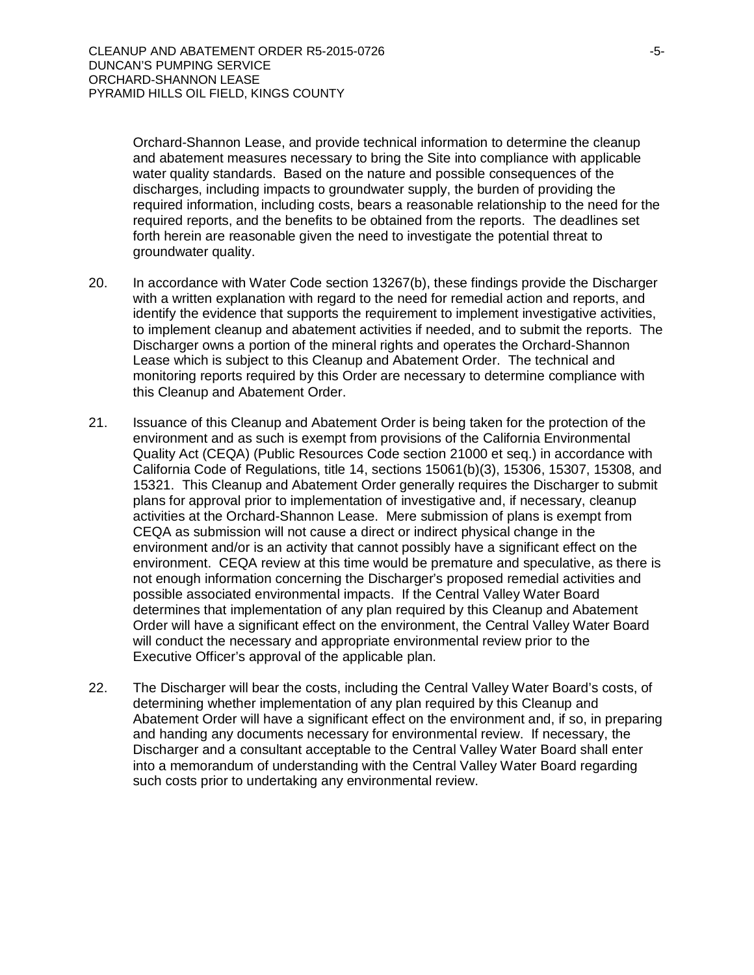Orchard-Shannon Lease, and provide technical information to determine the cleanup and abatement measures necessary to bring the Site into compliance with applicable water quality standards. Based on the nature and possible consequences of the discharges, including impacts to groundwater supply, the burden of providing the required information, including costs, bears a reasonable relationship to the need for the required reports, and the benefits to be obtained from the reports. The deadlines set forth herein are reasonable given the need to investigate the potential threat to groundwater quality.

- 20. In accordance with Water Code section 13267(b), these findings provide the Discharger with a written explanation with regard to the need for remedial action and reports, and identify the evidence that supports the requirement to implement investigative activities, to implement cleanup and abatement activities if needed, and to submit the reports. The Discharger owns a portion of the mineral rights and operates the Orchard-Shannon Lease which is subject to this Cleanup and Abatement Order. The technical and monitoring reports required by this Order are necessary to determine compliance with this Cleanup and Abatement Order.
- 21. Issuance of this Cleanup and Abatement Order is being taken for the protection of the environment and as such is exempt from provisions of the California Environmental Quality Act (CEQA) (Public Resources Code section 21000 et seq.) in accordance with California Code of Regulations, title 14, sections 15061(b)(3), 15306, 15307, 15308, and 15321. This Cleanup and Abatement Order generally requires the Discharger to submit plans for approval prior to implementation of investigative and, if necessary, cleanup activities at the Orchard-Shannon Lease. Mere submission of plans is exempt from CEQA as submission will not cause a direct or indirect physical change in the environment and/or is an activity that cannot possibly have a significant effect on the environment. CEQA review at this time would be premature and speculative, as there is not enough information concerning the Discharger's proposed remedial activities and possible associated environmental impacts. If the Central Valley Water Board determines that implementation of any plan required by this Cleanup and Abatement Order will have a significant effect on the environment, the Central Valley Water Board will conduct the necessary and appropriate environmental review prior to the Executive Officer's approval of the applicable plan.
- 22. The Discharger will bear the costs, including the Central Valley Water Board's costs, of determining whether implementation of any plan required by this Cleanup and Abatement Order will have a significant effect on the environment and, if so, in preparing and handing any documents necessary for environmental review. If necessary, the Discharger and a consultant acceptable to the Central Valley Water Board shall enter into a memorandum of understanding with the Central Valley Water Board regarding such costs prior to undertaking any environmental review.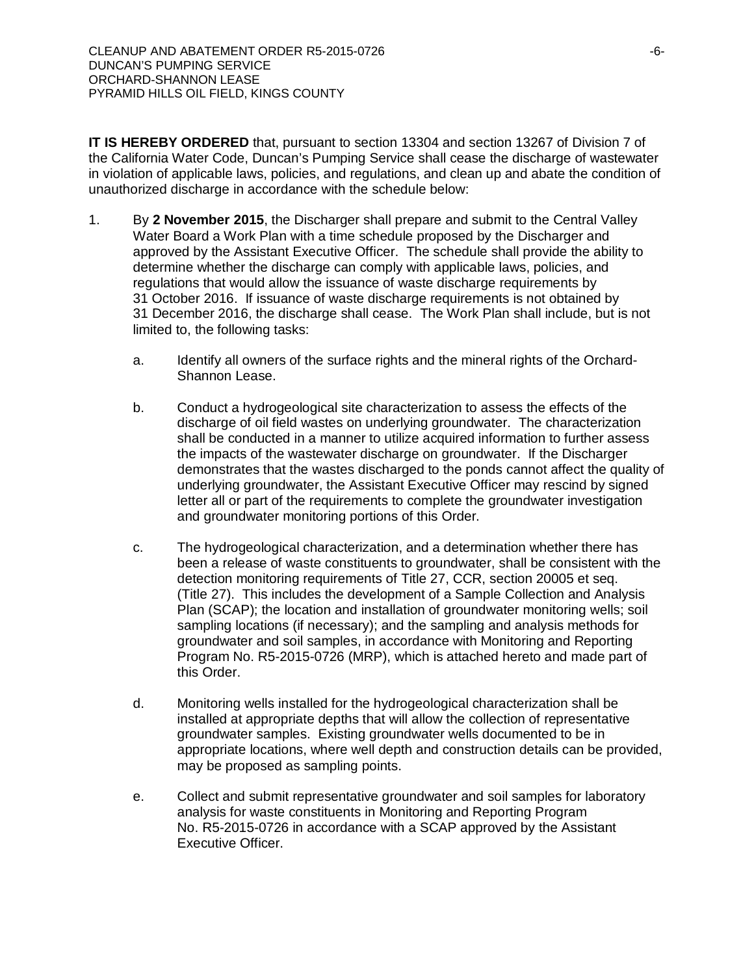**IT IS HEREBY ORDERED** that, pursuant to section 13304 and section 13267 of Division 7 of the California Water Code, Duncan's Pumping Service shall cease the discharge of wastewater in violation of applicable laws, policies, and regulations, and clean up and abate the condition of unauthorized discharge in accordance with the schedule below:

- 1. By **2 November 2015**, the Discharger shall prepare and submit to the Central Valley Water Board a Work Plan with a time schedule proposed by the Discharger and approved by the Assistant Executive Officer. The schedule shall provide the ability to determine whether the discharge can comply with applicable laws, policies, and regulations that would allow the issuance of waste discharge requirements by 31 October 2016. If issuance of waste discharge requirements is not obtained by 31 December 2016, the discharge shall cease. The Work Plan shall include, but is not limited to, the following tasks:
	- a. Identify all owners of the surface rights and the mineral rights of the Orchard-Shannon Lease.
	- b. Conduct a hydrogeological site characterization to assess the effects of the discharge of oil field wastes on underlying groundwater. The characterization shall be conducted in a manner to utilize acquired information to further assess the impacts of the wastewater discharge on groundwater. If the Discharger demonstrates that the wastes discharged to the ponds cannot affect the quality of underlying groundwater, the Assistant Executive Officer may rescind by signed letter all or part of the requirements to complete the groundwater investigation and groundwater monitoring portions of this Order.
	- c. The hydrogeological characterization, and a determination whether there has been a release of waste constituents to groundwater, shall be consistent with the detection monitoring requirements of Title 27, CCR, section 20005 et seq. (Title 27). This includes the development of a Sample Collection and Analysis Plan (SCAP); the location and installation of groundwater monitoring wells; soil sampling locations (if necessary); and the sampling and analysis methods for groundwater and soil samples, in accordance with Monitoring and Reporting Program No. R5-2015-0726 (MRP), which is attached hereto and made part of this Order.
	- d. Monitoring wells installed for the hydrogeological characterization shall be installed at appropriate depths that will allow the collection of representative groundwater samples. Existing groundwater wells documented to be in appropriate locations, where well depth and construction details can be provided, may be proposed as sampling points.
	- e. Collect and submit representative groundwater and soil samples for laboratory analysis for waste constituents in Monitoring and Reporting Program No. R5-2015-0726 in accordance with a SCAP approved by the Assistant Executive Officer.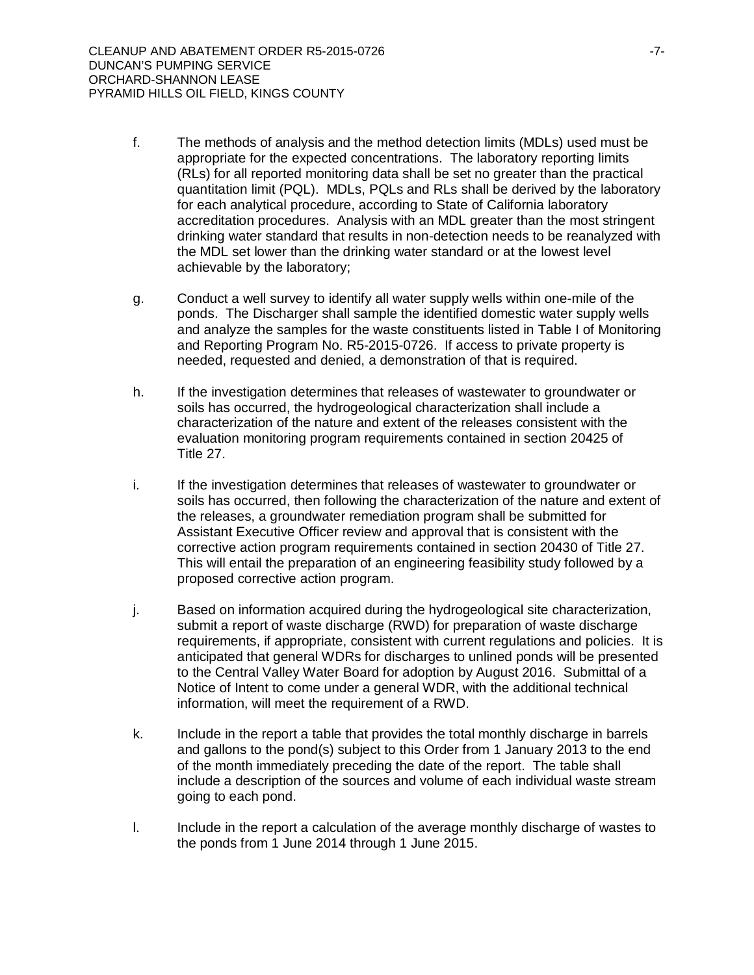- f. The methods of analysis and the method detection limits (MDLs) used must be appropriate for the expected concentrations. The laboratory reporting limits (RLs) for all reported monitoring data shall be set no greater than the practical quantitation limit (PQL). MDLs, PQLs and RLs shall be derived by the laboratory for each analytical procedure, according to State of California laboratory accreditation procedures. Analysis with an MDL greater than the most stringent drinking water standard that results in non-detection needs to be reanalyzed with the MDL set lower than the drinking water standard or at the lowest level achievable by the laboratory;
- g. Conduct a well survey to identify all water supply wells within one-mile of the ponds. The Discharger shall sample the identified domestic water supply wells and analyze the samples for the waste constituents listed in Table I of Monitoring and Reporting Program No. R5-2015-0726. If access to private property is needed, requested and denied, a demonstration of that is required.
- h. If the investigation determines that releases of wastewater to groundwater or soils has occurred, the hydrogeological characterization shall include a characterization of the nature and extent of the releases consistent with the evaluation monitoring program requirements contained in section 20425 of Title 27.
- i. If the investigation determines that releases of wastewater to groundwater or soils has occurred, then following the characterization of the nature and extent of the releases, a groundwater remediation program shall be submitted for Assistant Executive Officer review and approval that is consistent with the corrective action program requirements contained in section 20430 of Title 27. This will entail the preparation of an engineering feasibility study followed by a proposed corrective action program.
- j. Based on information acquired during the hydrogeological site characterization, submit a report of waste discharge (RWD) for preparation of waste discharge requirements, if appropriate, consistent with current regulations and policies. It is anticipated that general WDRs for discharges to unlined ponds will be presented to the Central Valley Water Board for adoption by August 2016. Submittal of a Notice of Intent to come under a general WDR, with the additional technical information, will meet the requirement of a RWD.
- k. Include in the report a table that provides the total monthly discharge in barrels and gallons to the pond(s) subject to this Order from 1 January 2013 to the end of the month immediately preceding the date of the report. The table shall include a description of the sources and volume of each individual waste stream going to each pond.
- l. Include in the report a calculation of the average monthly discharge of wastes to the ponds from 1 June 2014 through 1 June 2015.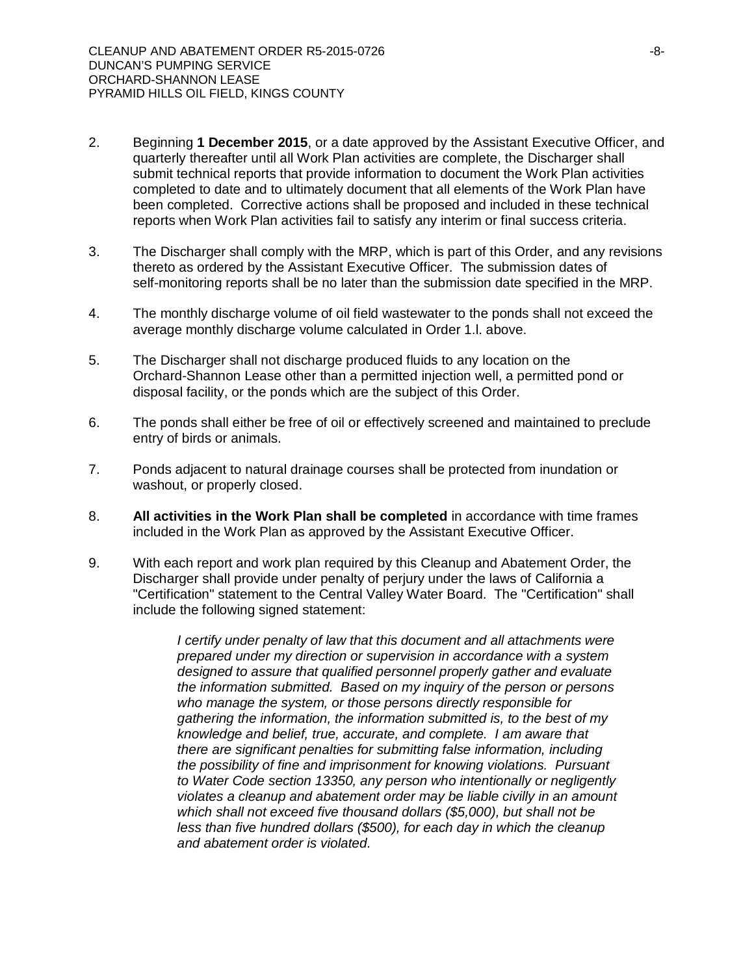- 2. Beginning **1 December 2015**, or a date approved by the Assistant Executive Officer, and quarterly thereafter until all Work Plan activities are complete, the Discharger shall submit technical reports that provide information to document the Work Plan activities completed to date and to ultimately document that all elements of the Work Plan have been completed. Corrective actions shall be proposed and included in these technical reports when Work Plan activities fail to satisfy any interim or final success criteria.
- 3. The Discharger shall comply with the MRP, which is part of this Order, and any revisions thereto as ordered by the Assistant Executive Officer. The submission dates of self-monitoring reports shall be no later than the submission date specified in the MRP.
- 4. The monthly discharge volume of oil field wastewater to the ponds shall not exceed the average monthly discharge volume calculated in Order 1.l. above.
- 5. The Discharger shall not discharge produced fluids to any location on the Orchard-Shannon Lease other than a permitted injection well, a permitted pond or disposal facility, or the ponds which are the subject of this Order.
- 6. The ponds shall either be free of oil or effectively screened and maintained to preclude entry of birds or animals.
- 7. Ponds adjacent to natural drainage courses shall be protected from inundation or washout, or properly closed.
- 8. **All activities in the Work Plan shall be completed** in accordance with time frames included in the Work Plan as approved by the Assistant Executive Officer.
- 9. With each report and work plan required by this Cleanup and Abatement Order, the Discharger shall provide under penalty of perjury under the laws of California a "Certification" statement to the Central Valley Water Board. The "Certification" shall include the following signed statement:

*I certify under penalty of law that this document and all attachments were prepared under my direction or supervision in accordance with a system designed to assure that qualified personnel properly gather and evaluate the information submitted. Based on my inquiry of the person or persons who manage the system, or those persons directly responsible for gathering the information, the information submitted is, to the best of my knowledge and belief, true, accurate, and complete. I am aware that there are significant penalties for submitting false information, including the possibility of fine and imprisonment for knowing violations. Pursuant to Water Code section 13350, any person who intentionally or negligently violates a cleanup and abatement order may be liable civilly in an amount which shall not exceed five thousand dollars (\$5,000), but shall not be less than five hundred dollars (\$500), for each day in which the cleanup and abatement order is violated.*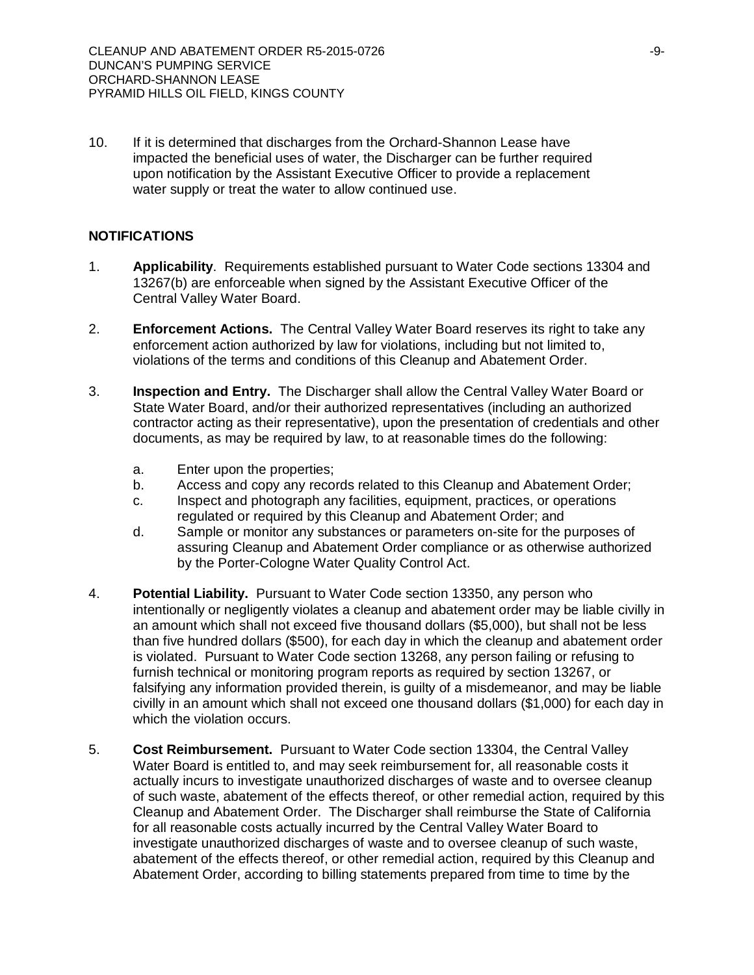10. If it is determined that discharges from the Orchard-Shannon Lease have impacted the beneficial uses of water, the Discharger can be further required upon notification by the Assistant Executive Officer to provide a replacement water supply or treat the water to allow continued use.

#### **NOTIFICATIONS**

- 1. **Applicability**. Requirements established pursuant to Water Code sections 13304 and 13267(b) are enforceable when signed by the Assistant Executive Officer of the Central Valley Water Board.
- 2. **Enforcement Actions.** The Central Valley Water Board reserves its right to take any enforcement action authorized by law for violations, including but not limited to, violations of the terms and conditions of this Cleanup and Abatement Order.
- 3. **Inspection and Entry.** The Discharger shall allow the Central Valley Water Board or State Water Board, and/or their authorized representatives (including an authorized contractor acting as their representative), upon the presentation of credentials and other documents, as may be required by law, to at reasonable times do the following:
	- a. Enter upon the properties;
	- b. Access and copy any records related to this Cleanup and Abatement Order;
	- c. Inspect and photograph any facilities, equipment, practices, or operations regulated or required by this Cleanup and Abatement Order; and
	- d. Sample or monitor any substances or parameters on-site for the purposes of assuring Cleanup and Abatement Order compliance or as otherwise authorized by the Porter-Cologne Water Quality Control Act.
- 4. **Potential Liability.** Pursuant to Water Code section 13350, any person who intentionally or negligently violates a cleanup and abatement order may be liable civilly in an amount which shall not exceed five thousand dollars (\$5,000), but shall not be less than five hundred dollars (\$500), for each day in which the cleanup and abatement order is violated. Pursuant to Water Code section 13268, any person failing or refusing to furnish technical or monitoring program reports as required by section 13267, or falsifying any information provided therein, is guilty of a misdemeanor, and may be liable civilly in an amount which shall not exceed one thousand dollars (\$1,000) for each day in which the violation occurs.
- 5. **Cost Reimbursement.** Pursuant to Water Code section 13304, the Central Valley Water Board is entitled to, and may seek reimbursement for, all reasonable costs it actually incurs to investigate unauthorized discharges of waste and to oversee cleanup of such waste, abatement of the effects thereof, or other remedial action, required by this Cleanup and Abatement Order. The Discharger shall reimburse the State of California for all reasonable costs actually incurred by the Central Valley Water Board to investigate unauthorized discharges of waste and to oversee cleanup of such waste, abatement of the effects thereof, or other remedial action, required by this Cleanup and Abatement Order, according to billing statements prepared from time to time by the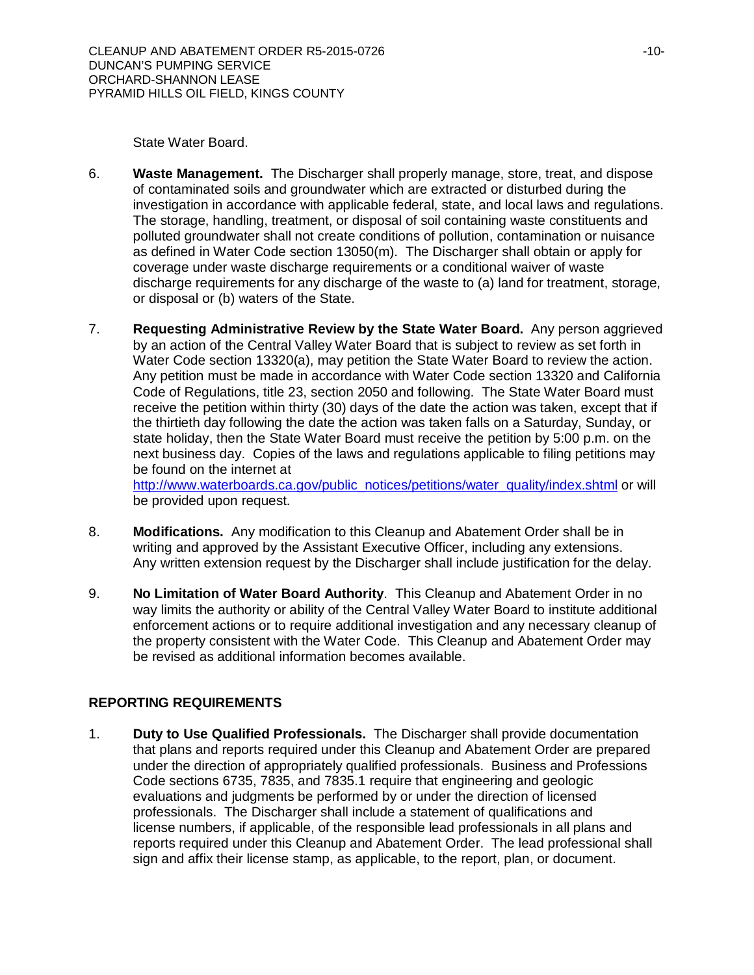State Water Board.

- 6. **Waste Management.** The Discharger shall properly manage, store, treat, and dispose of contaminated soils and groundwater which are extracted or disturbed during the investigation in accordance with applicable federal, state, and local laws and regulations. The storage, handling, treatment, or disposal of soil containing waste constituents and polluted groundwater shall not create conditions of pollution, contamination or nuisance as defined in Water Code section 13050(m). The Discharger shall obtain or apply for coverage under waste discharge requirements or a conditional waiver of waste discharge requirements for any discharge of the waste to (a) land for treatment, storage, or disposal or (b) waters of the State.
- 7. **Requesting Administrative Review by the State Water Board.** Any person aggrieved by an action of the Central Valley Water Board that is subject to review as set forth in Water Code section 13320(a), may petition the State Water Board to review the action. Any petition must be made in accordance with Water Code section 13320 and California Code of Regulations, title 23, section 2050 and following. The State Water Board must receive the petition within thirty (30) days of the date the action was taken, except that if the thirtieth day following the date the action was taken falls on a Saturday, Sunday, or state holiday, then the State Water Board must receive the petition by 5:00 p.m. on the next business day. Copies of the laws and regulations applicable to filing petitions may be found on the internet at

http://www.waterboards.ca.gov/public\_notices/petitions/water\_quality/index.shtml or will be provided upon request.

- 8. **Modifications.** Any modification to this Cleanup and Abatement Order shall be in writing and approved by the Assistant Executive Officer, including any extensions. Any written extension request by the Discharger shall include justification for the delay.
- 9. **No Limitation of Water Board Authority**. This Cleanup and Abatement Order in no way limits the authority or ability of the Central Valley Water Board to institute additional enforcement actions or to require additional investigation and any necessary cleanup of the property consistent with the Water Code. This Cleanup and Abatement Order may be revised as additional information becomes available.

## **REPORTING REQUIREMENTS**

1. **Duty to Use Qualified Professionals.** The Discharger shall provide documentation that plans and reports required under this Cleanup and Abatement Order are prepared under the direction of appropriately qualified professionals. Business and Professions Code sections 6735, 7835, and 7835.1 require that engineering and geologic evaluations and judgments be performed by or under the direction of licensed professionals. The Discharger shall include a statement of qualifications and license numbers, if applicable, of the responsible lead professionals in all plans and reports required under this Cleanup and Abatement Order. The lead professional shall sign and affix their license stamp, as applicable, to the report, plan, or document.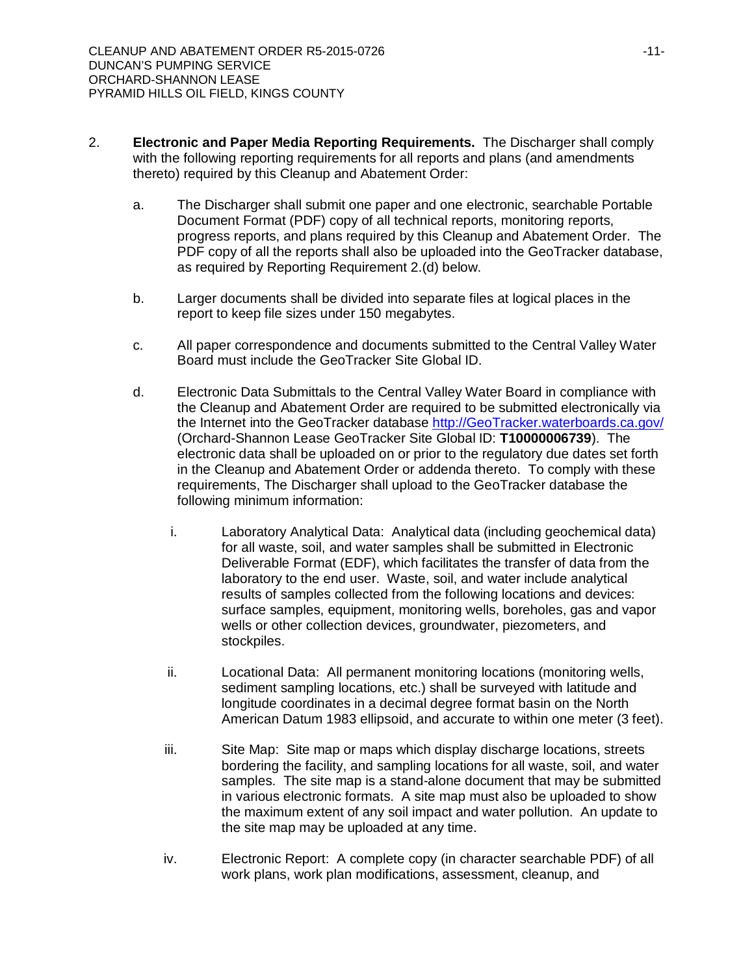- 2. **Electronic and Paper Media Reporting Requirements.** The Discharger shall comply with the following reporting requirements for all reports and plans (and amendments thereto) required by this Cleanup and Abatement Order:
	- a. The Discharger shall submit one paper and one electronic, searchable Portable Document Format (PDF) copy of all technical reports, monitoring reports, progress reports, and plans required by this Cleanup and Abatement Order. The PDF copy of all the reports shall also be uploaded into the GeoTracker database, as required by Reporting Requirement 2.(d) below.
	- b. Larger documents shall be divided into separate files at logical places in the report to keep file sizes under 150 megabytes.
	- c. All paper correspondence and documents submitted to the Central Valley Water Board must include the GeoTracker Site Global ID.
	- d. Electronic Data Submittals to the Central Valley Water Board in compliance with the Cleanup and Abatement Order are required to be submitted electronically via the Internet into the GeoTracker database http://GeoTracker.waterboards.ca.gov/ (Orchard-Shannon Lease GeoTracker Site Global ID: **T10000006739**). The electronic data shall be uploaded on or prior to the regulatory due dates set forth in the Cleanup and Abatement Order or addenda thereto. To comply with these requirements, The Discharger shall upload to the GeoTracker database the following minimum information:
		- i. Laboratory Analytical Data: Analytical data (including geochemical data) for all waste, soil, and water samples shall be submitted in Electronic Deliverable Format (EDF), which facilitates the transfer of data from the laboratory to the end user. Waste, soil, and water include analytical results of samples collected from the following locations and devices: surface samples, equipment, monitoring wells, boreholes, gas and vapor wells or other collection devices, groundwater, piezometers, and stockpiles.
		- ii. Locational Data: All permanent monitoring locations (monitoring wells, sediment sampling locations, etc.) shall be surveyed with latitude and longitude coordinates in a decimal degree format basin on the North American Datum 1983 ellipsoid, and accurate to within one meter (3 feet).
		- iii. Site Map: Site map or maps which display discharge locations, streets bordering the facility, and sampling locations for all waste, soil, and water samples. The site map is a stand-alone document that may be submitted in various electronic formats. A site map must also be uploaded to show the maximum extent of any soil impact and water pollution. An update to the site map may be uploaded at any time.
		- iv. Electronic Report: A complete copy (in character searchable PDF) of all work plans, work plan modifications, assessment, cleanup, and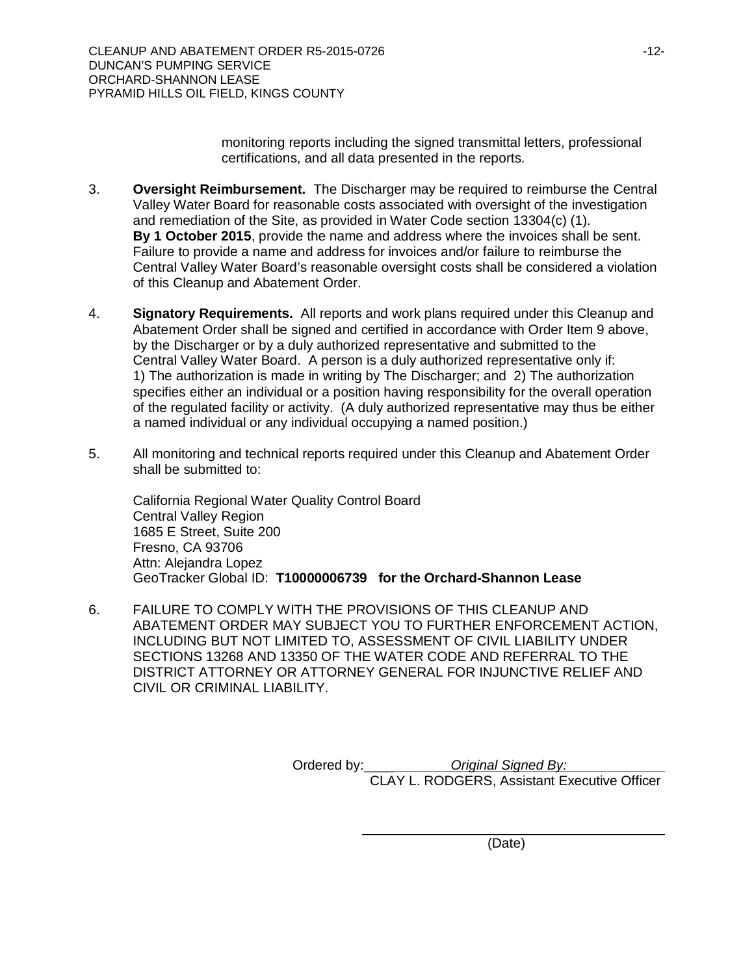monitoring reports including the signed transmittal letters, professional certifications, and all data presented in the reports.

- 3. **Oversight Reimbursement.** The Discharger may be required to reimburse the Central Valley Water Board for reasonable costs associated with oversight of the investigation and remediation of the Site, as provided in Water Code section 13304(c) (1). **By 1 October 2015**, provide the name and address where the invoices shall be sent. Failure to provide a name and address for invoices and/or failure to reimburse the Central Valley Water Board's reasonable oversight costs shall be considered a violation of this Cleanup and Abatement Order.
- 4. **Signatory Requirements.** All reports and work plans required under this Cleanup and Abatement Order shall be signed and certified in accordance with Order Item 9 above, by the Discharger or by a duly authorized representative and submitted to the Central Valley Water Board. A person is a duly authorized representative only if: 1) The authorization is made in writing by The Discharger; and 2) The authorization specifies either an individual or a position having responsibility for the overall operation of the regulated facility or activity. (A duly authorized representative may thus be either a named individual or any individual occupying a named position.)
- 5. All monitoring and technical reports required under this Cleanup and Abatement Order shall be submitted to:

California Regional Water Quality Control Board Central Valley Region 1685 E Street, Suite 200 Fresno, CA 93706 Attn: Alejandra Lopez GeoTracker Global ID: **T10000006739 for the Orchard-Shannon Lease**

6. FAILURE TO COMPLY WITH THE PROVISIONS OF THIS CLEANUP AND ABATEMENT ORDER MAY SUBJECT YOU TO FURTHER ENFORCEMENT ACTION, INCLUDING BUT NOT LIMITED TO, ASSESSMENT OF CIVIL LIABILITY UNDER SECTIONS 13268 AND 13350 OF THE WATER CODE AND REFERRAL TO THE DISTRICT ATTORNEY OR ATTORNEY GENERAL FOR INJUNCTIVE RELIEF AND CIVIL OR CRIMINAL LIABILITY.

> Ordered by:\_\_\_\_ *Original Signed By:* CLAY L. RODGERS, Assistant Executive Officer

> > (Date)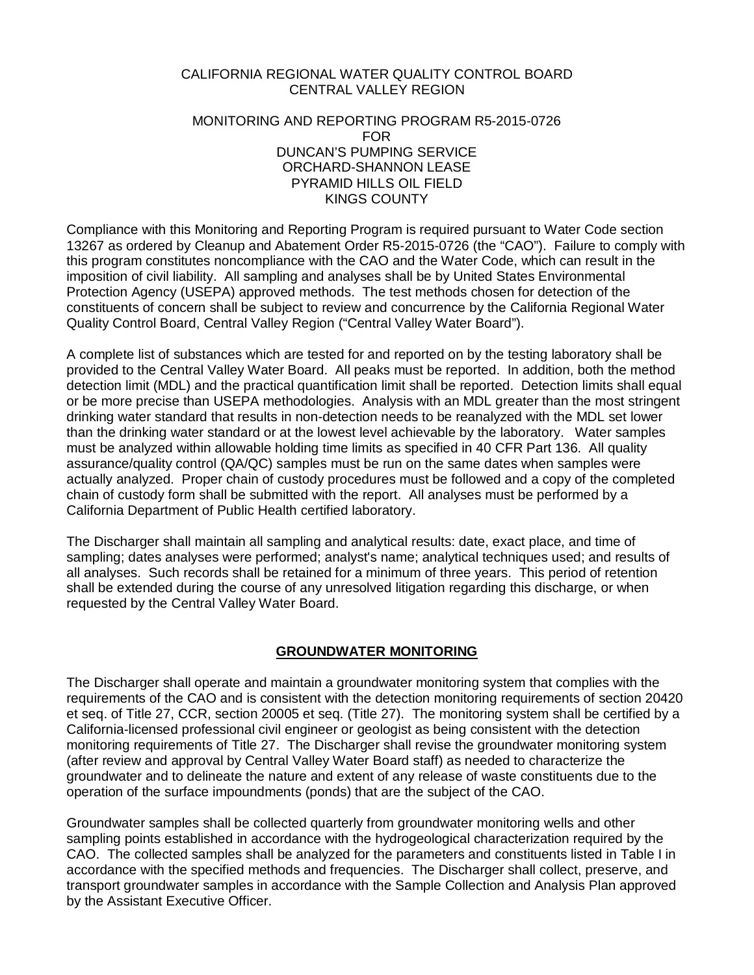#### CALIFORNIA REGIONAL WATER QUALITY CONTROL BOARD CENTRAL VALLEY REGION

#### MONITORING AND REPORTING PROGRAM R5-2015-0726 FOR DUNCAN'S PUMPING SERVICE ORCHARD-SHANNON LEASE PYRAMID HILLS OIL FIELD KINGS COUNTY

Compliance with this Monitoring and Reporting Program is required pursuant to Water Code section 13267 as ordered by Cleanup and Abatement Order R5-2015-0726 (the "CAO"). Failure to comply with this program constitutes noncompliance with the CAO and the Water Code, which can result in the imposition of civil liability. All sampling and analyses shall be by United States Environmental Protection Agency (USEPA) approved methods. The test methods chosen for detection of the constituents of concern shall be subject to review and concurrence by the California Regional Water Quality Control Board, Central Valley Region ("Central Valley Water Board").

A complete list of substances which are tested for and reported on by the testing laboratory shall be provided to the Central Valley Water Board. All peaks must be reported. In addition, both the method detection limit (MDL) and the practical quantification limit shall be reported. Detection limits shall equal or be more precise than USEPA methodologies. Analysis with an MDL greater than the most stringent drinking water standard that results in non-detection needs to be reanalyzed with the MDL set lower than the drinking water standard or at the lowest level achievable by the laboratory. Water samples must be analyzed within allowable holding time limits as specified in 40 CFR Part 136. All quality assurance/quality control (QA/QC) samples must be run on the same dates when samples were actually analyzed. Proper chain of custody procedures must be followed and a copy of the completed chain of custody form shall be submitted with the report. All analyses must be performed by a California Department of Public Health certified laboratory.

The Discharger shall maintain all sampling and analytical results: date, exact place, and time of sampling; dates analyses were performed; analyst's name; analytical techniques used; and results of all analyses. Such records shall be retained for a minimum of three years. This period of retention shall be extended during the course of any unresolved litigation regarding this discharge, or when requested by the Central Valley Water Board.

## **GROUNDWATER MONITORING**

The Discharger shall operate and maintain a groundwater monitoring system that complies with the requirements of the CAO and is consistent with the detection monitoring requirements of section 20420 et seq. of Title 27, CCR, section 20005 et seq. (Title 27). The monitoring system shall be certified by a California-licensed professional civil engineer or geologist as being consistent with the detection monitoring requirements of Title 27. The Discharger shall revise the groundwater monitoring system (after review and approval by Central Valley Water Board staff) as needed to characterize the groundwater and to delineate the nature and extent of any release of waste constituents due to the operation of the surface impoundments (ponds) that are the subject of the CAO.

Groundwater samples shall be collected quarterly from groundwater monitoring wells and other sampling points established in accordance with the hydrogeological characterization required by the CAO. The collected samples shall be analyzed for the parameters and constituents listed in Table I in accordance with the specified methods and frequencies. The Discharger shall collect, preserve, and transport groundwater samples in accordance with the Sample Collection and Analysis Plan approved by the Assistant Executive Officer.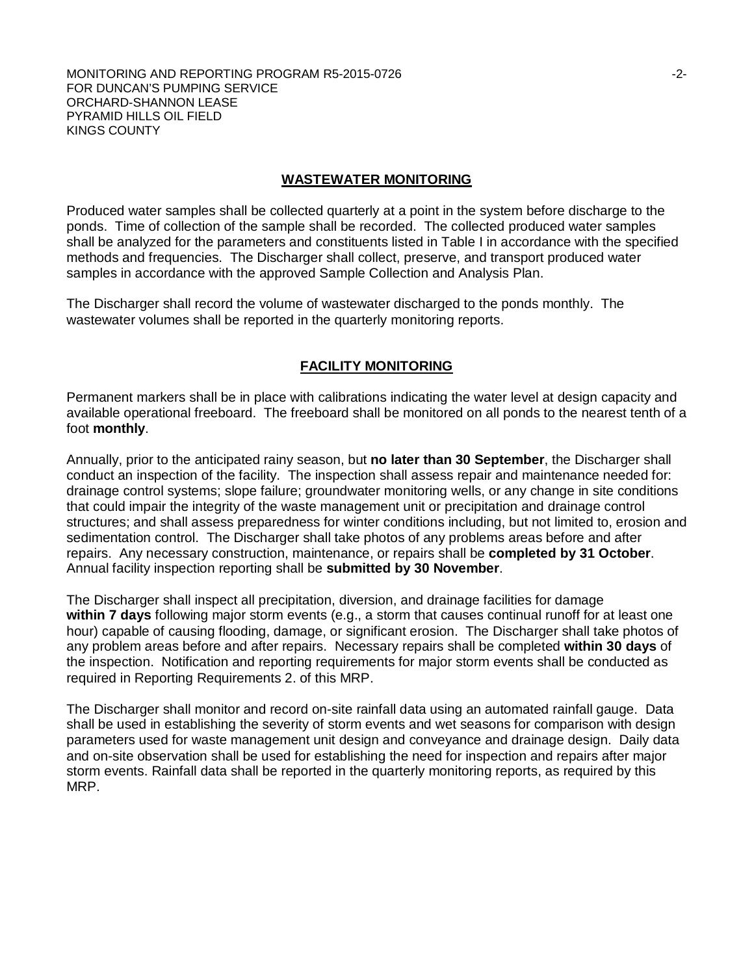## **WASTEWATER MONITORING**

Produced water samples shall be collected quarterly at a point in the system before discharge to the ponds. Time of collection of the sample shall be recorded. The collected produced water samples shall be analyzed for the parameters and constituents listed in Table I in accordance with the specified methods and frequencies. The Discharger shall collect, preserve, and transport produced water samples in accordance with the approved Sample Collection and Analysis Plan.

The Discharger shall record the volume of wastewater discharged to the ponds monthly. The wastewater volumes shall be reported in the quarterly monitoring reports.

#### **FACILITY MONITORING**

Permanent markers shall be in place with calibrations indicating the water level at design capacity and available operational freeboard. The freeboard shall be monitored on all ponds to the nearest tenth of a foot **monthly**.

Annually, prior to the anticipated rainy season, but **no later than 30 September**, the Discharger shall conduct an inspection of the facility. The inspection shall assess repair and maintenance needed for: drainage control systems; slope failure; groundwater monitoring wells, or any change in site conditions that could impair the integrity of the waste management unit or precipitation and drainage control structures; and shall assess preparedness for winter conditions including, but not limited to, erosion and sedimentation control. The Discharger shall take photos of any problems areas before and after repairs. Any necessary construction, maintenance, or repairs shall be **completed by 31 October**. Annual facility inspection reporting shall be **submitted by 30 November**.

The Discharger shall inspect all precipitation, diversion, and drainage facilities for damage **within 7 days** following major storm events (e.g., a storm that causes continual runoff for at least one hour) capable of causing flooding, damage, or significant erosion. The Discharger shall take photos of any problem areas before and after repairs. Necessary repairs shall be completed **within 30 days** of the inspection. Notification and reporting requirements for major storm events shall be conducted as required in Reporting Requirements 2. of this MRP.

The Discharger shall monitor and record on-site rainfall data using an automated rainfall gauge. Data shall be used in establishing the severity of storm events and wet seasons for comparison with design parameters used for waste management unit design and conveyance and drainage design. Daily data and on-site observation shall be used for establishing the need for inspection and repairs after major storm events. Rainfall data shall be reported in the quarterly monitoring reports, as required by this MRP.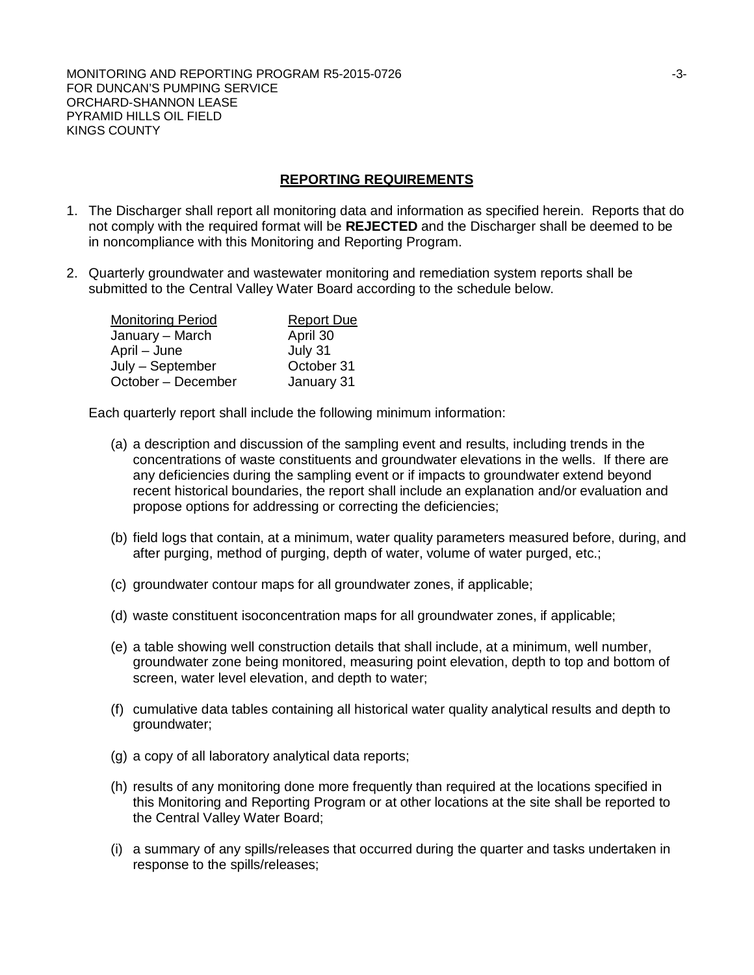## **REPORTING REQUIREMENTS**

- 1. The Discharger shall report all monitoring data and information as specified herein. Reports that do not comply with the required format will be **REJECTED** and the Discharger shall be deemed to be in noncompliance with this Monitoring and Reporting Program.
- 2. Quarterly groundwater and wastewater monitoring and remediation system reports shall be submitted to the Central Valley Water Board according to the schedule below.

| <b>Monitoring Period</b> | <b>Report Due</b> |
|--------------------------|-------------------|
| January – March          | April 30          |
| April – June             | July 31           |
| July – September         | October 31        |
| October - December       | January 31        |

Each quarterly report shall include the following minimum information:

- (a) a description and discussion of the sampling event and results, including trends in the concentrations of waste constituents and groundwater elevations in the wells. If there are any deficiencies during the sampling event or if impacts to groundwater extend beyond recent historical boundaries, the report shall include an explanation and/or evaluation and propose options for addressing or correcting the deficiencies;
- (b) field logs that contain, at a minimum, water quality parameters measured before, during, and after purging, method of purging, depth of water, volume of water purged, etc.;
- (c) groundwater contour maps for all groundwater zones, if applicable;
- (d) waste constituent isoconcentration maps for all groundwater zones, if applicable;
- (e) a table showing well construction details that shall include, at a minimum, well number, groundwater zone being monitored, measuring point elevation, depth to top and bottom of screen, water level elevation, and depth to water;
- (f) cumulative data tables containing all historical water quality analytical results and depth to groundwater;
- (g) a copy of all laboratory analytical data reports;
- (h) results of any monitoring done more frequently than required at the locations specified in this Monitoring and Reporting Program or at other locations at the site shall be reported to the Central Valley Water Board;
- (i) a summary of any spills/releases that occurred during the quarter and tasks undertaken in response to the spills/releases;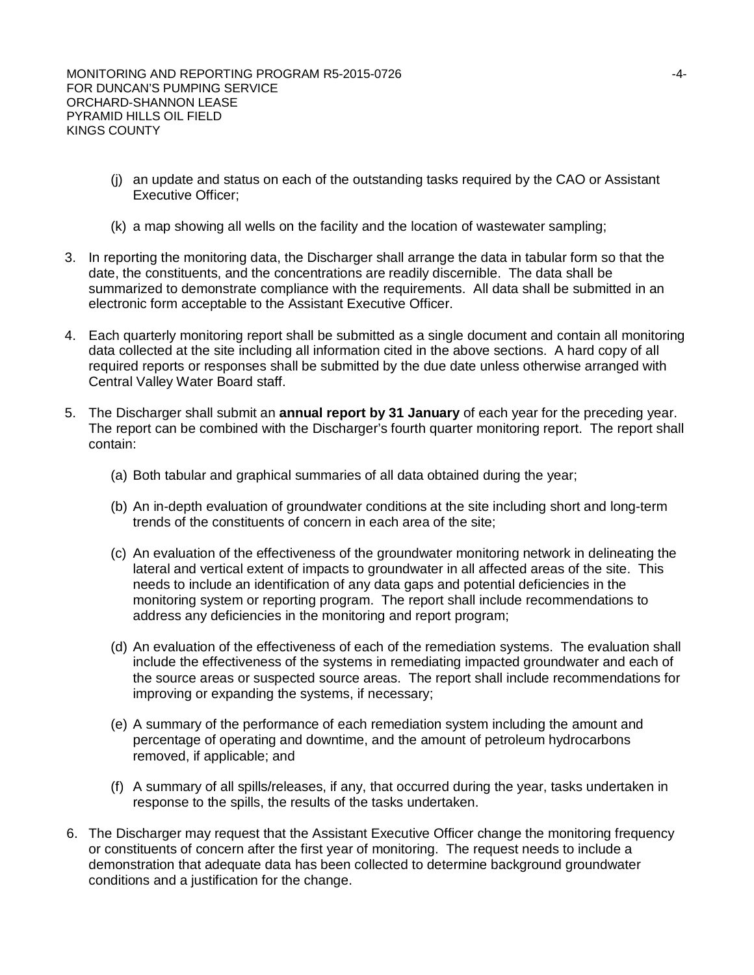- (j) an update and status on each of the outstanding tasks required by the CAO or Assistant Executive Officer;
- (k) a map showing all wells on the facility and the location of wastewater sampling;
- 3. In reporting the monitoring data, the Discharger shall arrange the data in tabular form so that the date, the constituents, and the concentrations are readily discernible. The data shall be summarized to demonstrate compliance with the requirements. All data shall be submitted in an electronic form acceptable to the Assistant Executive Officer.
- 4. Each quarterly monitoring report shall be submitted as a single document and contain all monitoring data collected at the site including all information cited in the above sections. A hard copy of all required reports or responses shall be submitted by the due date unless otherwise arranged with Central Valley Water Board staff.
- 5. The Discharger shall submit an **annual report by 31 January** of each year for the preceding year. The report can be combined with the Discharger's fourth quarter monitoring report. The report shall contain:
	- (a) Both tabular and graphical summaries of all data obtained during the year;
	- (b) An in-depth evaluation of groundwater conditions at the site including short and long-term trends of the constituents of concern in each area of the site;
	- (c) An evaluation of the effectiveness of the groundwater monitoring network in delineating the lateral and vertical extent of impacts to groundwater in all affected areas of the site. This needs to include an identification of any data gaps and potential deficiencies in the monitoring system or reporting program. The report shall include recommendations to address any deficiencies in the monitoring and report program;
	- (d) An evaluation of the effectiveness of each of the remediation systems. The evaluation shall include the effectiveness of the systems in remediating impacted groundwater and each of the source areas or suspected source areas. The report shall include recommendations for improving or expanding the systems, if necessary;
	- (e) A summary of the performance of each remediation system including the amount and percentage of operating and downtime, and the amount of petroleum hydrocarbons removed, if applicable; and
	- (f) A summary of all spills/releases, if any, that occurred during the year, tasks undertaken in response to the spills, the results of the tasks undertaken.
- 6. The Discharger may request that the Assistant Executive Officer change the monitoring frequency or constituents of concern after the first year of monitoring. The request needs to include a demonstration that adequate data has been collected to determine background groundwater conditions and a justification for the change.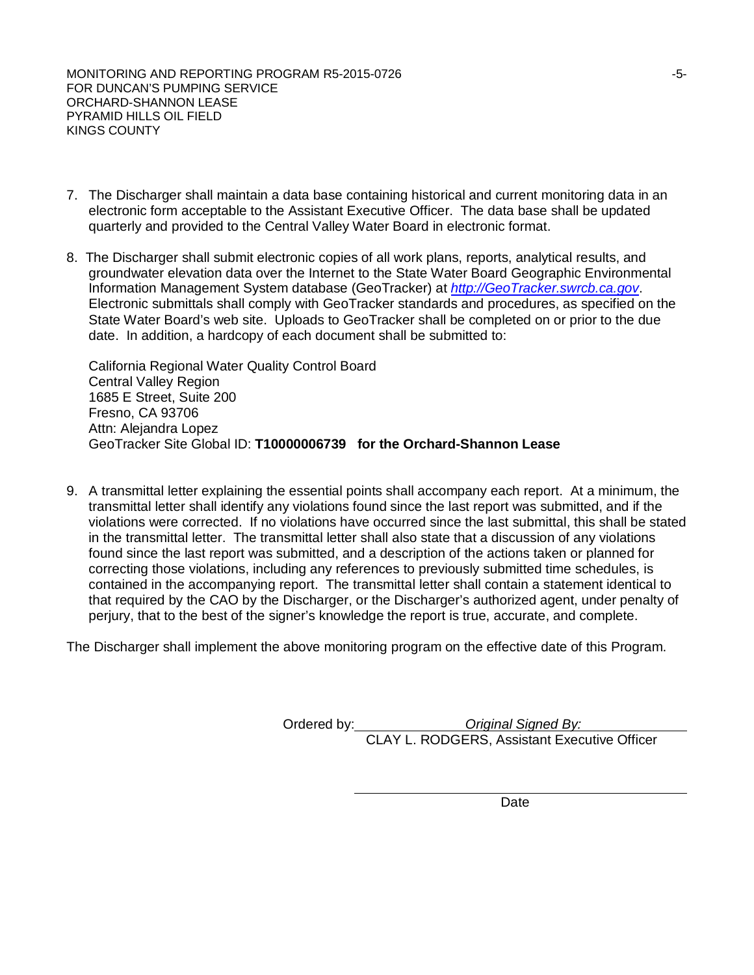MONITORING AND REPORTING PROGRAM R5-2015-0726 **FOUND 100 CONTROLLY 100 CONTROLLY 100 CONTROLLY 100 CONTROLLY 100** FOR DUNCAN'S PUMPING SERVICE ORCHARD-SHANNON LEASE PYRAMID HILLS OIL FIELD KINGS COUNTY

- 7. The Discharger shall maintain a data base containing historical and current monitoring data in an electronic form acceptable to the Assistant Executive Officer. The data base shall be updated quarterly and provided to the Central Valley Water Board in electronic format.
- 8. The Discharger shall submit electronic copies of all work plans, reports, analytical results, and groundwater elevation data over the Internet to the State Water Board Geographic Environmental Information Management System database (GeoTracker) at *http://GeoTracker.swrcb.ca.gov*. Electronic submittals shall comply with GeoTracker standards and procedures, as specified on the State Water Board's web site. Uploads to GeoTracker shall be completed on or prior to the due date. In addition, a hardcopy of each document shall be submitted to:

California Regional Water Quality Control Board Central Valley Region 1685 E Street, Suite 200 Fresno, CA 93706 Attn: Alejandra Lopez GeoTracker Site Global ID: **T10000006739 for the Orchard-Shannon Lease**

9. A transmittal letter explaining the essential points shall accompany each report. At a minimum, the transmittal letter shall identify any violations found since the last report was submitted, and if the violations were corrected. If no violations have occurred since the last submittal, this shall be stated in the transmittal letter. The transmittal letter shall also state that a discussion of any violations found since the last report was submitted, and a description of the actions taken or planned for correcting those violations, including any references to previously submitted time schedules, is contained in the accompanying report. The transmittal letter shall contain a statement identical to that required by the CAO by the Discharger, or the Discharger's authorized agent, under penalty of perjury, that to the best of the signer's knowledge the report is true, accurate, and complete.

The Discharger shall implement the above monitoring program on the effective date of this Program.

Ordered by: *Original Signed By:* CLAY L. RODGERS, Assistant Executive Officer

Date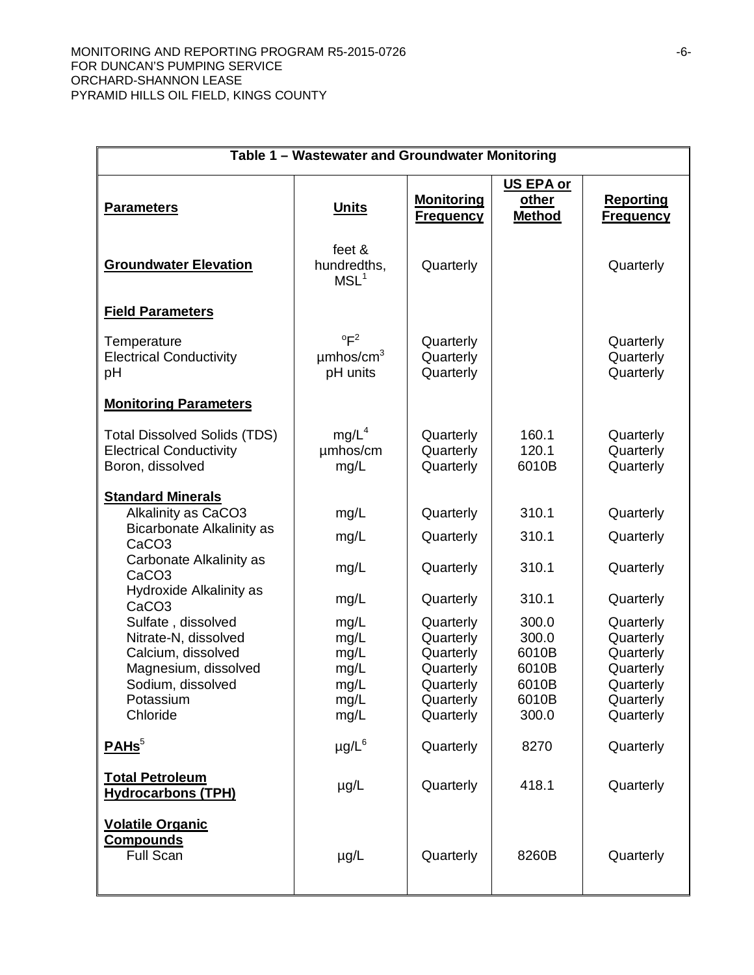| Table 1 - Wastewater and Groundwater Monitoring                                                                                                                                                                                                                                                                                                    |                                                                                      |                                                                                                                                             |                                                                                                 |                                                                                                                                             |
|----------------------------------------------------------------------------------------------------------------------------------------------------------------------------------------------------------------------------------------------------------------------------------------------------------------------------------------------------|--------------------------------------------------------------------------------------|---------------------------------------------------------------------------------------------------------------------------------------------|-------------------------------------------------------------------------------------------------|---------------------------------------------------------------------------------------------------------------------------------------------|
| <b>Parameters</b>                                                                                                                                                                                                                                                                                                                                  | <b>Units</b>                                                                         | <b>Monitoring</b><br><b>Frequency</b>                                                                                                       | US EPA or<br>other<br><b>Method</b>                                                             | <b>Reporting</b><br><b>Frequency</b>                                                                                                        |
| <b>Groundwater Elevation</b>                                                                                                                                                                                                                                                                                                                       | feet &<br>hundredths,<br>MSL <sup>1</sup>                                            | Quarterly                                                                                                                                   |                                                                                                 | Quarterly                                                                                                                                   |
| <b>Field Parameters</b>                                                                                                                                                                                                                                                                                                                            |                                                                                      |                                                                                                                                             |                                                                                                 |                                                                                                                                             |
| Temperature<br><b>Electrical Conductivity</b><br>pH<br><b>Monitoring Parameters</b>                                                                                                                                                                                                                                                                | $^{\circ}$ F <sup>2</sup><br>$\mu$ mhos/cm <sup>3</sup><br>pH units                  | Quarterly<br>Quarterly<br>Quarterly                                                                                                         |                                                                                                 | Quarterly<br>Quarterly<br>Quarterly                                                                                                         |
| <b>Total Dissolved Solids (TDS)</b><br><b>Electrical Conductivity</b><br>Boron, dissolved                                                                                                                                                                                                                                                          | mg/L <sup>4</sup><br>umhos/cm<br>mg/L                                                | Quarterly<br>Quarterly<br>Quarterly                                                                                                         | 160.1<br>120.1<br>6010B                                                                         | Quarterly<br>Quarterly<br>Quarterly                                                                                                         |
| <b>Standard Minerals</b><br>Alkalinity as CaCO3<br><b>Bicarbonate Alkalinity as</b><br>CaCO <sub>3</sub><br>Carbonate Alkalinity as<br>CaCO <sub>3</sub><br>Hydroxide Alkalinity as<br>CaCO <sub>3</sub><br>Sulfate, dissolved<br>Nitrate-N, dissolved<br>Calcium, dissolved<br>Magnesium, dissolved<br>Sodium, dissolved<br>Potassium<br>Chloride | mg/L<br>mg/L<br>mg/L<br>mg/L<br>mg/L<br>mg/L<br>mg/L<br>mg/L<br>mg/L<br>mg/L<br>mg/L | Quarterly<br>Quarterly<br>Quarterly<br>Quarterly<br>Quarterly<br>Quarterly<br>Quarterly<br>Quarterly<br>Quarterly<br>Quarterly<br>Quarterly | 310.1<br>310.1<br>310.1<br>310.1<br>300.0<br>300.0<br>6010B<br>6010B<br>6010B<br>6010B<br>300.0 | Quarterly<br>Quarterly<br>Quarterly<br>Quarterly<br>Quarterly<br>Quarterly<br>Quarterly<br>Quarterly<br>Quarterly<br>Quarterly<br>Quarterly |
| PAHS <sup>5</sup>                                                                                                                                                                                                                                                                                                                                  | $\mu$ g/L $^6$                                                                       | Quarterly                                                                                                                                   | 8270                                                                                            | Quarterly                                                                                                                                   |
| <b>Total Petroleum</b><br><b>Hydrocarbons (TPH)</b>                                                                                                                                                                                                                                                                                                | µg/L                                                                                 | Quarterly                                                                                                                                   | 418.1                                                                                           | Quarterly                                                                                                                                   |
| <b>Volatile Organic</b><br><b>Compounds</b><br><b>Full Scan</b>                                                                                                                                                                                                                                                                                    | $\mu$ g/L                                                                            | Quarterly                                                                                                                                   | 8260B                                                                                           | Quarterly                                                                                                                                   |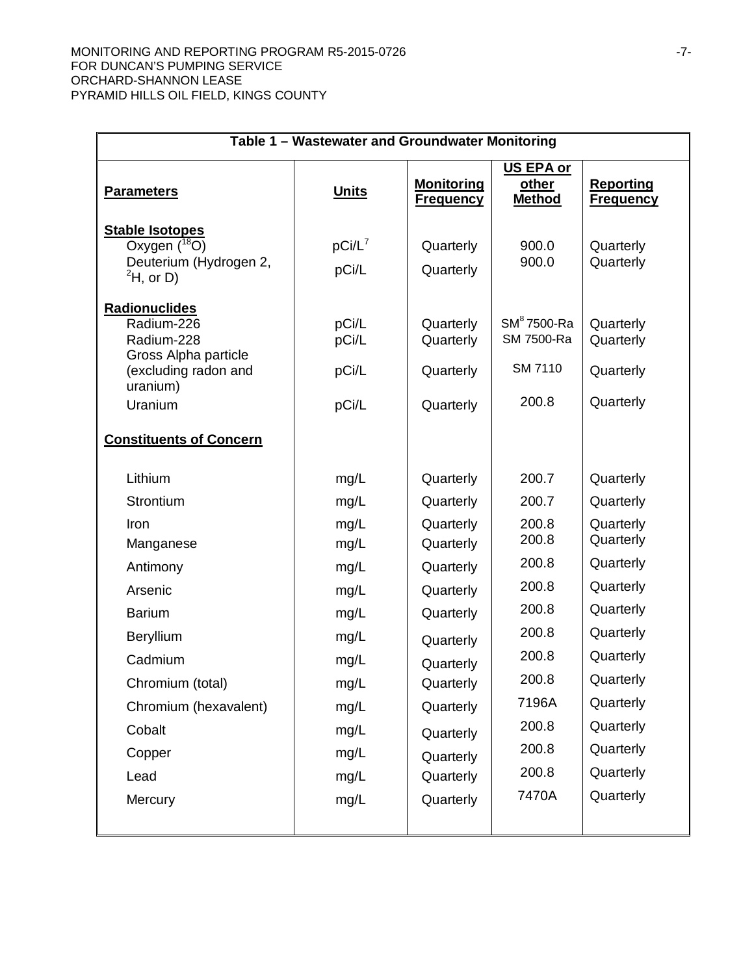#### MONITORING AND REPORTING PROGRAM R5-2015-0726 **Fig. 10.13 and 2018** -7-FOR DUNCAN'S PUMPING SERVICE ORCHARD-SHANNON LEASE PYRAMID HILLS OIL FIELD, KINGS COUNTY

| Table 1 - Wastewater and Groundwater Monitoring                                                                                                                                               |                                                                                                                      |                                                                                                                                                                                                 |                                                                                                                                     |                                                                                                                                                                                                 |
|-----------------------------------------------------------------------------------------------------------------------------------------------------------------------------------------------|----------------------------------------------------------------------------------------------------------------------|-------------------------------------------------------------------------------------------------------------------------------------------------------------------------------------------------|-------------------------------------------------------------------------------------------------------------------------------------|-------------------------------------------------------------------------------------------------------------------------------------------------------------------------------------------------|
| <b>Parameters</b>                                                                                                                                                                             | <b>Units</b>                                                                                                         | <b>Monitoring</b><br><b>Frequency</b>                                                                                                                                                           | US EPA or<br>other<br><b>Method</b>                                                                                                 | <b>Reporting</b><br><b>Frequency</b>                                                                                                                                                            |
| <b>Stable Isotopes</b><br>Oxygen $(^{18}O)$<br>Deuterium (Hydrogen 2,<br>$^2$ H, or D)                                                                                                        | $pCi/L^7$<br>pCi/L                                                                                                   | Quarterly<br>Quarterly                                                                                                                                                                          | 900.0<br>900.0                                                                                                                      | Quarterly<br>Quarterly                                                                                                                                                                          |
| <b>Radionuclides</b><br>Radium-226<br>Radium-228<br>Gross Alpha particle<br>(excluding radon and<br>uranium)<br>Uranium                                                                       | pCi/L<br>pCi/L<br>pCi/L<br>pCi/L                                                                                     | Quarterly<br>Quarterly<br>Quarterly<br>Quarterly                                                                                                                                                | $SM8$ 7500-Ra<br>SM 7500-Ra<br><b>SM 7110</b><br>200.8                                                                              | Quarterly<br>Quarterly<br>Quarterly<br>Quarterly                                                                                                                                                |
| <b>Constituents of Concern</b>                                                                                                                                                                |                                                                                                                      |                                                                                                                                                                                                 |                                                                                                                                     |                                                                                                                                                                                                 |
| Lithium<br>Strontium<br>Iron<br>Manganese<br>Antimony<br>Arsenic<br><b>Barium</b><br>Beryllium<br>Cadmium<br>Chromium (total)<br>Chromium (hexavalent)<br>Cobalt<br>Copper<br>Lead<br>Mercury | mg/L<br>mg/L<br>mg/L<br>mg/L<br>mg/L<br>mg/L<br>mg/L<br>mg/L<br>mg/L<br>mg/L<br>mg/L<br>mg/L<br>mg/L<br>mg/L<br>mg/L | Quarterly<br>Quarterly<br>Quarterly<br>Quarterly<br>Quarterly<br>Quarterly<br>Quarterly<br>Quarterly<br>Quarterly<br>Quarterly<br>Quarterly<br>Quarterly<br>Quarterly<br>Quarterly<br>Quarterly | 200.7<br>200.7<br>200.8<br>200.8<br>200.8<br>200.8<br>200.8<br>200.8<br>200.8<br>200.8<br>7196A<br>200.8<br>200.8<br>200.8<br>7470A | Quarterly<br>Quarterly<br>Quarterly<br>Quarterly<br>Quarterly<br>Quarterly<br>Quarterly<br>Quarterly<br>Quarterly<br>Quarterly<br>Quarterly<br>Quarterly<br>Quarterly<br>Quarterly<br>Quarterly |